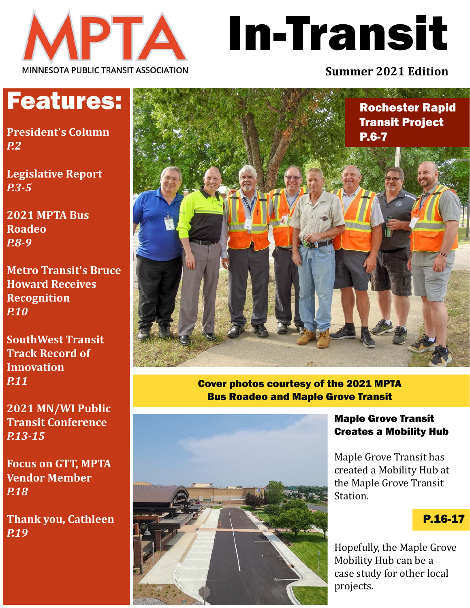

# In-Transit

#### **Summer 2021 Edition**

### Features:

**President's Column** *P.2*

**Legislative Report** *P.3-5*

**2021 MPTA Bus Roadeo** *P.8-9*

**Metro Transit's Bruce Howard Receives Recognition** *P.10*

**SouthWest Transit Track Record of Innovation** *P.11*

**2021 MN/WI Public Transit Conference** *P.13-15*

**Focus on GTT, MPTA Vendor Member** *P.18*

**Thank you, Cathleen** *P.19*



Cover photos courtesy of the 2021 MPTA Bus Roadeo and Maple Grove Transit



Maple Grove Transit Creates a Mobility Hub

Maple Grove Transit has created a Mobility Hub at the Maple Grove Transit Station.

#### P.16-17

Hopefully, the Maple Grove Mobility Hub can be a case study for other local projects.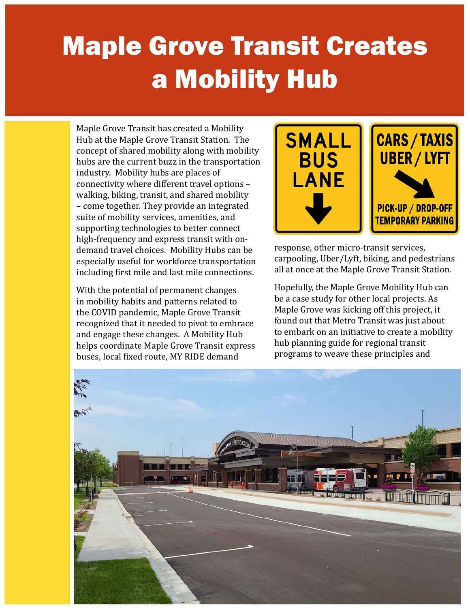# Maple Grove Transit Creates a Mobility Hub

Maple Grove Transit has created a Mobility Hub at the Maple Grove Transit Station. The concept of shared mobility along with mobility hubs are the current buzz in the transportation industry. Mobility hubs are places of connectivity where different travel options – walking, biking, transit, and shared mobility – come together. They provide an integrated suite of mobility services, amenities, and supporting technologies to better connect high-frequency and express transit with ondemand travel choices. Mobility Hubs can be especially useful for workforce transportation including first mile and last mile connections.

With the potential of permanent changes in mobility habits and patterns related to the COVID pandemic, Maple Grove Transit recognized that it needed to pivot to embrace and engage these changes. A Mobility Hub helps coordinate Maple Grove Transit express buses, local fixed route, MY RIDE demand



response, other micro-transit services, carpooling, Uber/Lyft, biking, and pedestrians all at once at the Maple Grove Transit Station.

Hopefully, the Maple Grove Mobility Hub can be a case study for other local projects. As Maple Grove was kicking off this project, it found out that Metro Transit was just about to embark on an initiative to create a mobility hub planning guide for regional transit programs to weave these principles and